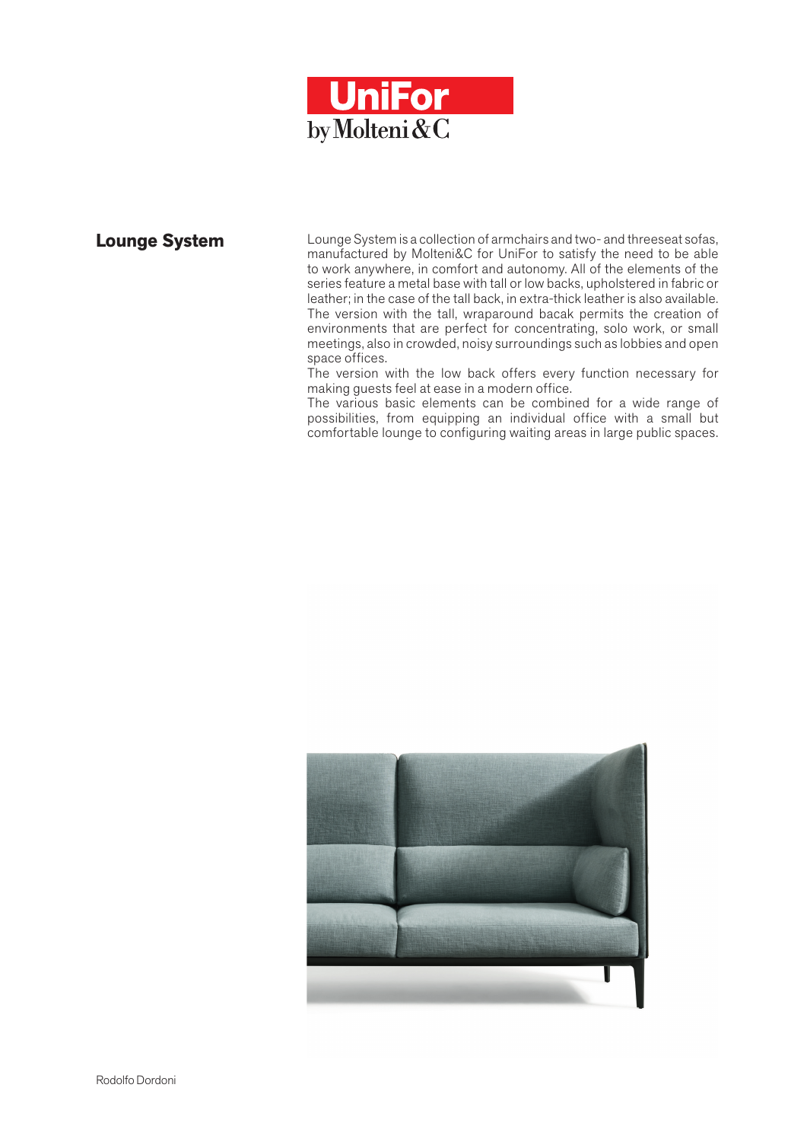

**Lounge System** Lounge System is a collection of armchairs and two- and threeseat sofas, manufactured by Molteni&C for UniFor to satisfy the need to be able to work anywhere, in comfort and autonomy. All of the elements of the series feature a metal base with tall or low backs, upholstered in fabric or leather; in the case of the tall back, in extra-thick leather is also available. The version with the tall, wraparound bacak permits the creation of environments that are perfect for concentrating, solo work, or small meetings, also in crowded, noisy surroundings such as lobbies and open space offices.

The version with the low back offers every function necessary for making guests feel at ease in a modern office.

The various basic elements can be combined for a wide range of possibilities, from equipping an individual office with a small but comfortable lounge to configuring waiting areas in large public spaces.

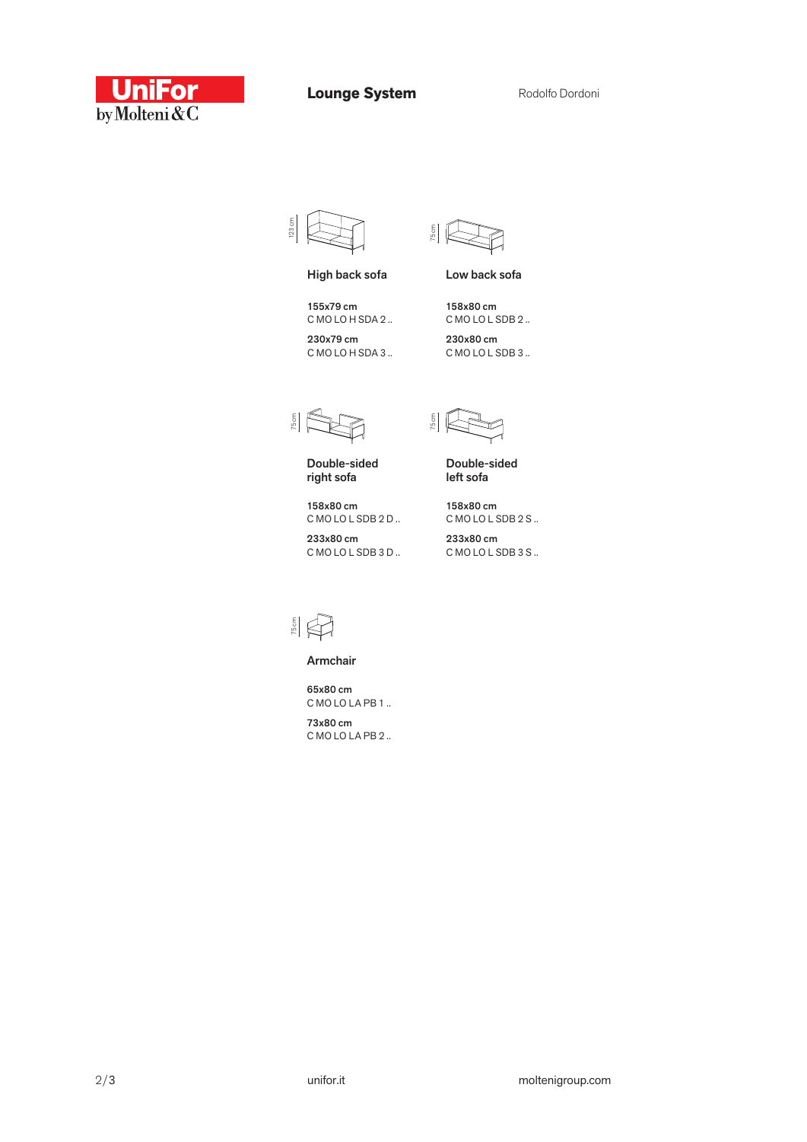

**Lounge System**



High back sofa

155x79 cm C MO LO H SDA 2 ..

230x79 cm C MO LO H SDA 3 ..

75 cm

Low back sofa

158x80 cm C MO LO L SDB 2 .. 230x80 cm C MO LO L SDB 3 ..

75 cm

Double-sided right sofa

158x80 cm C MO LO L SDB 2 D ..

233x80 cm C MO LO L SDB 3 D ..

Double-sided 75 cm

left sofa

158x80 cm C MO LO L SDB 2 S ..

233x80 cm C MO LO L SDB 3 S ..



Armchair

65x80 cm C MO LO LA PB 1 ..

73x80 cm C MO LO LA PB 2 ..